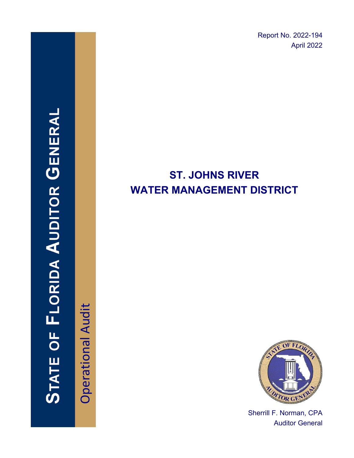Report No. 2022-194 April 2022

# STATE OF FLORIDA AUDITOR GENERAI

**Operational Audit** Operational Audit

# **ST. JOHNS RIVER WATER MANAGEMENT DISTRICT**



Sherrill F. Norman, CPA Auditor General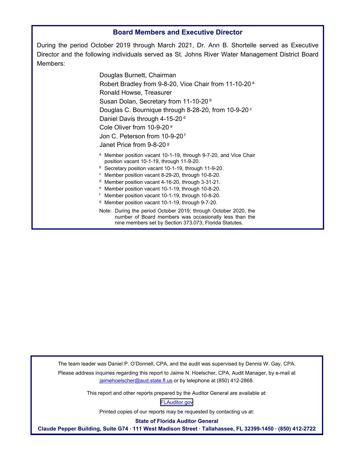## **Board Members and Executive Director**

During the period October 2019 through March 2021, Dr. Ann B. Shortelle served as Executive Director and the following individuals served as St. Johns River Water Management District Board Members:

> Douglas Burnett, Chairman Robert Bradley from 9-8-20, Vice Chair from 11-10-20 a Ronald Howse, Treasurer Susan Dolan, Secretary from 11-10-20<sup>b</sup> Douglas C. Bournique through 8-28-20, from 10-9-20 c Daniel Davis through 4-15-20<sup>d</sup> Cole Oliver from 10-9-20 e Jon C. Peterson from 10-9-20 f Janet Price from 9-8-20 g a Member position vacant 10-1-19, through 9-7-20, and Vice Chair position vacant 10-1-19, through 11-9-20.<br>
> b Secretary position vacant 10-1-19, through 11-9-20.<br>
> c Member position vacant 8-29-20, through 3-31-21.<br>
> d Member position vacant 4-16-20, through 3-31-21. e Member position vacant 10-1-19, through 10-8-20.<br>f Member position vacant 10-1-19, through 10-8-20.<br><sup>g</sup> Member position vacant 10-1-19, through 9-7-20.

Note: During the period October 2019, through October 2020, the number of Board members was occasionally less than the nine members set by Section 373.073, Florida Statutes.

The team leader was Daniel P. O'Donnell, CPA, and the audit was supervised by Dennis W. Gay, CPA.

Please address inquiries regarding this report to Jaime N. Hoelscher, CPA, Audit Manager, by e-mail at jaimehoelscher@aud.state.fl.us or by telephone at (850) 412-2868.

This report and other reports prepared by the Auditor General are available at:

[FLAuditor.gov](http://flauditor.gov/) 

Printed copies of our reports may be requested by contacting us at:

**State of Florida Auditor General** 

**Claude Pepper Building, Suite G74 · 111 West Madison Street · Tallahassee, FL 32399-1450 · (850) 412-2722**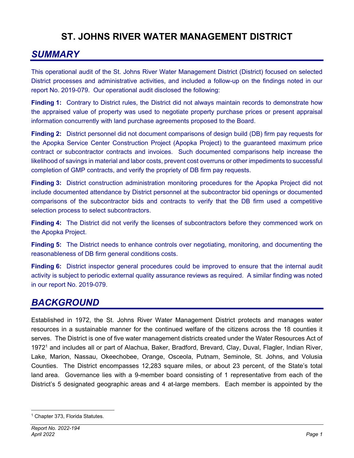# **ST. JOHNS RIVER WATER MANAGEMENT DISTRICT**

# *SUMMARY*

This operational audit of the St. Johns River Water Management District (District) focused on selected District processes and administrative activities, and included a follow-up on the findings noted in our report No. 2019-079. Our operational audit disclosed the following:

**Finding 1:** Contrary to District rules, the District did not always maintain records to demonstrate how the appraised value of property was used to negotiate property purchase prices or present appraisal information concurrently with land purchase agreements proposed to the Board.

**Finding 2:** District personnel did not document comparisons of design build (DB) firm pay requests for the Apopka Service Center Construction Project (Apopka Project) to the guaranteed maximum price contract or subcontractor contracts and invoices. Such documented comparisons help increase the likelihood of savings in material and labor costs, prevent cost overruns or other impediments to successful completion of GMP contracts, and verify the propriety of DB firm pay requests.

**Finding 3:** District construction administration monitoring procedures for the Apopka Project did not include documented attendance by District personnel at the subcontractor bid openings or documented comparisons of the subcontractor bids and contracts to verify that the DB firm used a competitive selection process to select subcontractors.

**Finding 4:** The District did not verify the licenses of subcontractors before they commenced work on the Apopka Project.

**Finding 5:** The District needs to enhance controls over negotiating, monitoring, and documenting the reasonableness of DB firm general conditions costs.

**Finding 6:** District inspector general procedures could be improved to ensure that the internal audit activity is subject to periodic external quality assurance reviews as required. A similar finding was noted in our report No. 2019-079.

# *BACKGROUND*

Established in 1972, the St. Johns River Water Management District protects and manages water resources in a sustainable manner for the continued welfare of the citizens across the 18 counties it serves. The District is one of five water management districts created under the Water Resources Act of 19721 and includes all or part of Alachua, Baker, Bradford, Brevard, Clay, Duval, Flagler, Indian River, Lake, Marion, Nassau, Okeechobee, Orange, Osceola, Putnam, Seminole, St. Johns, and Volusia Counties. The District encompasses 12,283 square miles, or about 23 percent, of the State's total land area. Governance lies with a 9-member board consisting of 1 representative from each of the District's 5 designated geographic areas and 4 at-large members. Each member is appointed by the

<sup>1</sup> Chapter 373, Florida Statutes.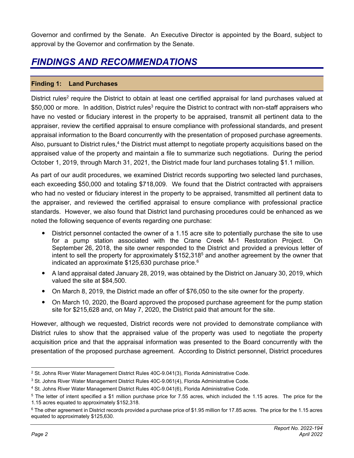Governor and confirmed by the Senate. An Executive Director is appointed by the Board, subject to approval by the Governor and confirmation by the Senate.

# *FINDINGS AND RECOMMENDATIONS*

# **Finding 1: Land Purchases**

District rules<sup>2</sup> require the District to obtain at least one certified appraisal for land purchases valued at \$50,000 or more. In addition, District rules<sup>3</sup> require the District to contract with non-staff appraisers who have no vested or fiduciary interest in the property to be appraised, transmit all pertinent data to the appraiser, review the certified appraisal to ensure compliance with professional standards, and present appraisal information to the Board concurrently with the presentation of proposed purchase agreements. Also, pursuant to District rules,<sup>4</sup> the District must attempt to negotiate property acquisitions based on the appraised value of the property and maintain a file to summarize such negotiations. During the period October 1, 2019, through March 31, 2021, the District made four land purchases totaling \$1.1 million.

As part of our audit procedures, we examined District records supporting two selected land purchases, each exceeding \$50,000 and totaling \$718,009. We found that the District contracted with appraisers who had no vested or fiduciary interest in the property to be appraised, transmitted all pertinent data to the appraiser, and reviewed the certified appraisal to ensure compliance with professional practice standards. However, we also found that District land purchasing procedures could be enhanced as we noted the following sequence of events regarding one purchase:

- District personnel contacted the owner of a 1.15 acre site to potentially purchase the site to use for a pump station associated with the Crane Creek M-1 Restoration Project. On September 26, 2018, the site owner responded to the District and provided a previous letter of intent to sell the property for approximately  $$152,318<sup>5</sup>$  and another agreement by the owner that indicated an approximate  $$125,630$  purchase price.<sup>6</sup>
- A land appraisal dated January 28, 2019, was obtained by the District on January 30, 2019, which valued the site at \$84,500.
- On March 8, 2019, the District made an offer of \$76,050 to the site owner for the property.
- On March 10, 2020, the Board approved the proposed purchase agreement for the pump station site for \$215,628 and, on May 7, 2020, the District paid that amount for the site.

However, although we requested, District records were not provided to demonstrate compliance with District rules to show that the appraised value of the property was used to negotiate the property acquisition price and that the appraisal information was presented to the Board concurrently with the presentation of the proposed purchase agreement. According to District personnel, District procedures

 $2$  St. Johns River Water Management District Rules 40C-9.041(3), Florida Administrative Code.

<sup>&</sup>lt;sup>3</sup> St. Johns River Water Management District Rules 40C-9.061(4), Florida Administrative Code.

<sup>4</sup> St. Johns River Water Management District Rules 40C-9.041(6), Florida Administrative Code.

<sup>5</sup> The letter of intent specified a \$1 million purchase price for 7.55 acres, which included the 1.15 acres. The price for the 1.15 acres equated to approximately \$152,318.

<sup>6</sup> The other agreement in District records provided a purchase price of \$1.95 million for 17.85 acres. The price for the 1.15 acres equated to approximately \$125,630.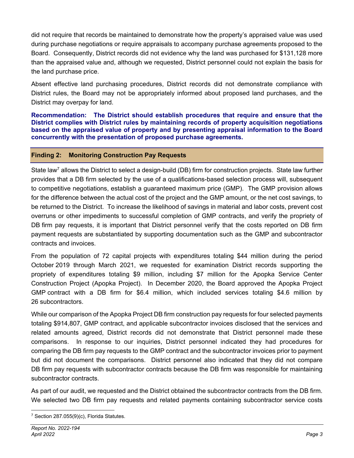did not require that records be maintained to demonstrate how the property's appraised value was used during purchase negotiations or require appraisals to accompany purchase agreements proposed to the Board. Consequently, District records did not evidence why the land was purchased for \$131,128 more than the appraised value and, although we requested, District personnel could not explain the basis for the land purchase price.

Absent effective land purchasing procedures, District records did not demonstrate compliance with District rules, the Board may not be appropriately informed about proposed land purchases, and the District may overpay for land.

**Recommendation: The District should establish procedures that require and ensure that the District complies with District rules by maintaining records of property acquisition negotiations based on the appraised value of property and by presenting appraisal information to the Board concurrently with the presentation of proposed purchase agreements.** 

# **Finding 2: Monitoring Construction Pay Requests**

State law<sup>7</sup> allows the District to select a design-build (DB) firm for construction projects. State law further provides that a DB firm selected by the use of a qualifications-based selection process will, subsequent to competitive negotiations, establish a guaranteed maximum price (GMP). The GMP provision allows for the difference between the actual cost of the project and the GMP amount, or the net cost savings, to be returned to the District. To increase the likelihood of savings in material and labor costs, prevent cost overruns or other impediments to successful completion of GMP contracts, and verify the propriety of DB firm pay requests, it is important that District personnel verify that the costs reported on DB firm payment requests are substantiated by supporting documentation such as the GMP and subcontractor contracts and invoices.

From the population of 72 capital projects with expenditures totaling \$44 million during the period October 2019 through March 2021, we requested for examination District records supporting the propriety of expenditures totaling \$9 million, including \$7 million for the Apopka Service Center Construction Project (Apopka Project). In December 2020, the Board approved the Apopka Project GMP contract with a DB firm for \$6.4 million, which included services totaling \$4.6 million by 26 subcontractors.

While our comparison of the Apopka Project DB firm construction pay requests for four selected payments totaling \$914,807, GMP contract, and applicable subcontractor invoices disclosed that the services and related amounts agreed, District records did not demonstrate that District personnel made these comparisons. In response to our inquiries, District personnel indicated they had procedures for comparing the DB firm pay requests to the GMP contract and the subcontractor invoices prior to payment but did not document the comparisons. District personnel also indicated that they did not compare DB firm pay requests with subcontractor contracts because the DB firm was responsible for maintaining subcontractor contracts.

As part of our audit, we requested and the District obtained the subcontractor contracts from the DB firm. We selected two DB firm pay requests and related payments containing subcontractor service costs

<sup>7</sup> Section 287.055(9)(c), Florida Statutes.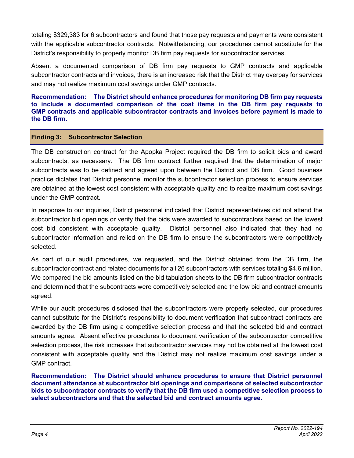totaling \$329,383 for 6 subcontractors and found that those pay requests and payments were consistent with the applicable subcontractor contracts. Notwithstanding, our procedures cannot substitute for the District's responsibility to properly monitor DB firm pay requests for subcontractor services.

Absent a documented comparison of DB firm pay requests to GMP contracts and applicable subcontractor contracts and invoices, there is an increased risk that the District may overpay for services and may not realize maximum cost savings under GMP contracts.

**Recommendation: The District should enhance procedures for monitoring DB firm pay requests to include a documented comparison of the cost items in the DB firm pay requests to GMP contracts and applicable subcontractor contracts and invoices before payment is made to the DB firm.** 

# **Finding 3: Subcontractor Selection**

The DB construction contract for the Apopka Project required the DB firm to solicit bids and award subcontracts, as necessary. The DB firm contract further required that the determination of major subcontracts was to be defined and agreed upon between the District and DB firm. Good business practice dictates that District personnel monitor the subcontractor selection process to ensure services are obtained at the lowest cost consistent with acceptable quality and to realize maximum cost savings under the GMP contract.

In response to our inquiries, District personnel indicated that District representatives did not attend the subcontractor bid openings or verify that the bids were awarded to subcontractors based on the lowest cost bid consistent with acceptable quality. District personnel also indicated that they had no subcontractor information and relied on the DB firm to ensure the subcontractors were competitively selected.

As part of our audit procedures, we requested, and the District obtained from the DB firm, the subcontractor contract and related documents for all 26 subcontractors with services totaling \$4.6 million. We compared the bid amounts listed on the bid tabulation sheets to the DB firm subcontractor contracts and determined that the subcontracts were competitively selected and the low bid and contract amounts agreed.

While our audit procedures disclosed that the subcontractors were properly selected, our procedures cannot substitute for the District's responsibility to document verification that subcontract contracts are awarded by the DB firm using a competitive selection process and that the selected bid and contract amounts agree. Absent effective procedures to document verification of the subcontractor competitive selection process, the risk increases that subcontractor services may not be obtained at the lowest cost consistent with acceptable quality and the District may not realize maximum cost savings under a GMP contract.

**Recommendation: The District should enhance procedures to ensure that District personnel document attendance at subcontractor bid openings and comparisons of selected subcontractor bids to subcontractor contracts to verify that the DB firm used a competitive selection process to select subcontractors and that the selected bid and contract amounts agree.**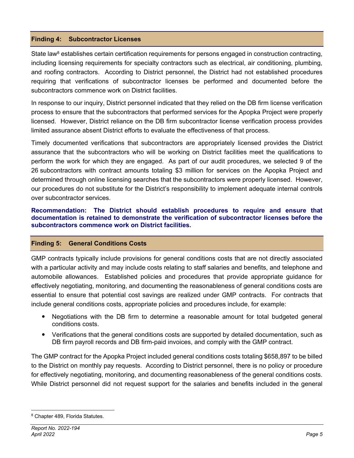# **Finding 4: Subcontractor Licenses**

State law<sup>8</sup> establishes certain certification requirements for persons engaged in construction contracting, including licensing requirements for specialty contractors such as electrical, air conditioning, plumbing, and roofing contractors. According to District personnel, the District had not established procedures requiring that verifications of subcontractor licenses be performed and documented before the subcontractors commence work on District facilities.

In response to our inquiry, District personnel indicated that they relied on the DB firm license verification process to ensure that the subcontractors that performed services for the Apopka Project were properly licensed. However, District reliance on the DB firm subcontractor license verification process provides limited assurance absent District efforts to evaluate the effectiveness of that process.

Timely documented verifications that subcontractors are appropriately licensed provides the District assurance that the subcontractors who will be working on District facilities meet the qualifications to perform the work for which they are engaged. As part of our audit procedures, we selected 9 of the 26 subcontractors with contract amounts totaling \$3 million for services on the Apopka Project and determined through online licensing searches that the subcontractors were properly licensed. However, our procedures do not substitute for the District's responsibility to implement adequate internal controls over subcontractor services.

**Recommendation: The District should establish procedures to require and ensure that documentation is retained to demonstrate the verification of subcontractor licenses before the subcontractors commence work on District facilities.** 

# **Finding 5: General Conditions Costs**

GMP contracts typically include provisions for general conditions costs that are not directly associated with a particular activity and may include costs relating to staff salaries and benefits, and telephone and automobile allowances. Established policies and procedures that provide appropriate guidance for effectively negotiating, monitoring, and documenting the reasonableness of general conditions costs are essential to ensure that potential cost savings are realized under GMP contracts. For contracts that include general conditions costs, appropriate policies and procedures include, for example:

- Negotiations with the DB firm to determine a reasonable amount for total budgeted general conditions costs.
- Verifications that the general conditions costs are supported by detailed documentation, such as DB firm payroll records and DB firm-paid invoices, and comply with the GMP contract.

The GMP contract for the Apopka Project included general conditions costs totaling \$658,897 to be billed to the District on monthly pay requests. According to District personnel, there is no policy or procedure for effectively negotiating, monitoring, and documenting reasonableness of the general conditions costs. While District personnel did not request support for the salaries and benefits included in the general

<sup>8</sup> Chapter 489, Florida Statutes.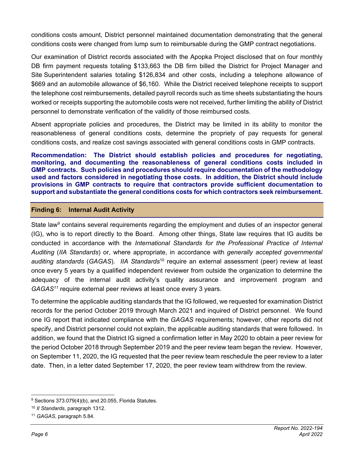conditions costs amount, District personnel maintained documentation demonstrating that the general conditions costs were changed from lump sum to reimbursable during the GMP contract negotiations.

Our examination of District records associated with the Apopka Project disclosed that on four monthly DB firm payment requests totaling \$133,663 the DB firm billed the District for Project Manager and Site Superintendent salaries totaling \$126,834 and other costs, including a telephone allowance of \$669 and an automobile allowance of \$6,160. While the District received telephone receipts to support the telephone cost reimbursements, detailed payroll records such as time sheets substantiating the hours worked or receipts supporting the automobile costs were not received, further limiting the ability of District personnel to demonstrate verification of the validity of those reimbursed costs.

Absent appropriate policies and procedures, the District may be limited in its ability to monitor the reasonableness of general conditions costs, determine the propriety of pay requests for general conditions costs, and realize cost savings associated with general conditions costs in GMP contracts.

**Recommendation: The District should establish policies and procedures for negotiating, monitoring, and documenting the reasonableness of general conditions costs included in GMP contracts. Such policies and procedures should require documentation of the methodology used and factors considered in negotiating those costs. In addition, the District should include provisions in GMP contracts to require that contractors provide sufficient documentation to support and substantiate the general conditions costs for which contractors seek reimbursement.** 

# **Finding 6: Internal Audit Activity**

State law<sup>9</sup> contains several requirements regarding the employment and duties of an inspector general (IG), who is to report directly to the Board. Among other things, State law requires that IG audits be conducted in accordance with the *International Standards for the Professional Practice of Internal Auditing* (*IIA Standards*) or, where appropriate, in accordance with *generally accepted governmental auditing standards* (*GAGAS*)*. IIA Standards*10 require an external assessment (peer) review at least once every 5 years by a qualified independent reviewer from outside the organization to determine the adequacy of the internal audit activity's quality assurance and improvement program and *GAGAS11* require external peer reviews at least once every 3 years.

To determine the applicable auditing standards that the IG followed, we requested for examination District records for the period October 2019 through March 2021 and inquired of District personnel. We found one IG report that indicated compliance with the *GAGAS* requirements; however, other reports did not specify, and District personnel could not explain, the applicable auditing standards that were followed. In addition, we found that the District IG signed a confirmation letter in May 2020 to obtain a peer review for the period October 2018 through September 2019 and the peer review team began the review. However, on September 11, 2020, the IG requested that the peer review team reschedule the peer review to a later date. Then, in a letter dated September 17, 2020, the peer review team withdrew from the review.

 $9$  Sections 373.079(4)(b), and 20.055, Florida Statutes.

<sup>10</sup> *II Standards*, paragraph 1312.

<sup>11</sup> *GAGAS*, paragraph 5.84.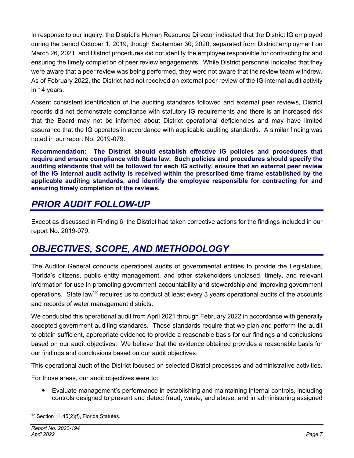In response to our inquiry, the District's Human Resource Director indicated that the District IG employed during the period October 1, 2019, though September 30, 2020, separated from District employment on March 26, 2021, and District procedures did not identify the employee responsible for contracting for and ensuring the timely completion of peer review engagements. While District personnel indicated that they were aware that a peer review was being performed, they were not aware that the review team withdrew. As of February 2022, the District had not received an external peer review of the IG internal audit activity in 14 years.

Absent consistent identification of the auditing standards followed and external peer reviews, District records did not demonstrate compliance with statutory IG requirements and there is an increased risk that the Board may not be informed about District operational deficiencies and may have limited assurance that the IG operates in accordance with applicable auditing standards. A similar finding was noted in our report No. 2019-079.

**Recommendation: The District should establish effective IG policies and procedures that require and ensure compliance with State law. Such policies and procedures should specify the auditing standards that will be followed for each IG activity, ensure that an external peer review of the IG internal audit activity is received within the prescribed time frame established by the applicable auditing standards, and identify the employee responsible for contracting for and ensuring timely completion of the reviews.** 

# *PRIOR AUDIT FOLLOW-UP*

Except as discussed in Finding 6, the District had taken corrective actions for the findings included in our report No. 2019-079.

# *OBJECTIVES, SCOPE, AND METHODOLOGY*

The Auditor General conducts operational audits of governmental entities to provide the Legislature, Florida's citizens, public entity management, and other stakeholders unbiased, timely, and relevant information for use in promoting government accountability and stewardship and improving government operations. State law<sup>12</sup> requires us to conduct at least every 3 years operational audits of the accounts and records of water management districts.

We conducted this operational audit from April 2021 through February 2022 in accordance with generally accepted government auditing standards. Those standards require that we plan and perform the audit to obtain sufficient, appropriate evidence to provide a reasonable basis for our findings and conclusions based on our audit objectives. We believe that the evidence obtained provides a reasonable basis for our findings and conclusions based on our audit objectives.

This operational audit of the District focused on selected District processes and administrative activities.

For those areas, our audit objectives were to:

 Evaluate management's performance in establishing and maintaining internal controls, including controls designed to prevent and detect fraud, waste, and abuse, and in administering assigned

<sup>12</sup> Section 11.45(2)(f), Florida Statutes.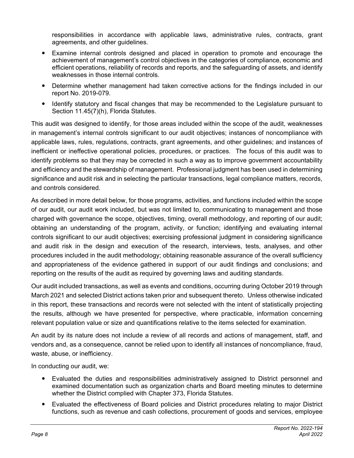responsibilities in accordance with applicable laws, administrative rules, contracts, grant agreements, and other guidelines.

- Examine internal controls designed and placed in operation to promote and encourage the achievement of management's control objectives in the categories of compliance, economic and efficient operations, reliability of records and reports, and the safeguarding of assets, and identify weaknesses in those internal controls.
- Determine whether management had taken corrective actions for the findings included in our report No. 2019-079.
- Identify statutory and fiscal changes that may be recommended to the Legislature pursuant to Section 11.45(7)(h), Florida Statutes.

This audit was designed to identify, for those areas included within the scope of the audit, weaknesses in management's internal controls significant to our audit objectives; instances of noncompliance with applicable laws, rules, regulations, contracts, grant agreements, and other guidelines; and instances of inefficient or ineffective operational policies, procedures, or practices. The focus of this audit was to identify problems so that they may be corrected in such a way as to improve government accountability and efficiency and the stewardship of management. Professional judgment has been used in determining significance and audit risk and in selecting the particular transactions, legal compliance matters, records, and controls considered.

As described in more detail below, for those programs, activities, and functions included within the scope of our audit, our audit work included, but was not limited to, communicating to management and those charged with governance the scope, objectives, timing, overall methodology, and reporting of our audit; obtaining an understanding of the program, activity, or function; identifying and evaluating internal controls significant to our audit objectives; exercising professional judgment in considering significance and audit risk in the design and execution of the research, interviews, tests, analyses, and other procedures included in the audit methodology; obtaining reasonable assurance of the overall sufficiency and appropriateness of the evidence gathered in support of our audit findings and conclusions; and reporting on the results of the audit as required by governing laws and auditing standards.

Our audit included transactions, as well as events and conditions, occurring during October 2019 through March 2021 and selected District actions taken prior and subsequent thereto. Unless otherwise indicated in this report, these transactions and records were not selected with the intent of statistically projecting the results, although we have presented for perspective, where practicable, information concerning relevant population value or size and quantifications relative to the items selected for examination.

An audit by its nature does not include a review of all records and actions of management, staff, and vendors and, as a consequence, cannot be relied upon to identify all instances of noncompliance, fraud, waste, abuse, or inefficiency.

In conducting our audit, we:

- Evaluated the duties and responsibilities administratively assigned to District personnel and examined documentation such as organization charts and Board meeting minutes to determine whether the District complied with Chapter 373, Florida Statutes.
- Evaluated the effectiveness of Board policies and District procedures relating to major District functions, such as revenue and cash collections, procurement of goods and services, employee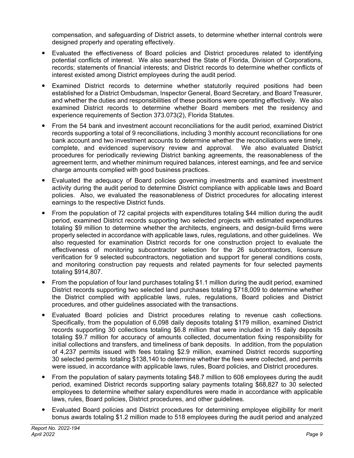compensation, and safeguarding of District assets, to determine whether internal controls were designed properly and operating effectively.

- Evaluated the effectiveness of Board policies and District procedures related to identifying potential conflicts of interest. We also searched the State of Florida, Division of Corporations, records; statements of financial interests; and District records to determine whether conflicts of interest existed among District employees during the audit period.
- Examined District records to determine whether statutorily required positions had been established for a District Ombudsman, Inspector General, Board Secretary, and Board Treasurer, and whether the duties and responsibilities of these positions were operating effectively. We also examined District records to determine whether Board members met the residency and experience requirements of Section 373.073(2), Florida Statutes.
- From the 54 bank and investment account reconciliations for the audit period, examined District records supporting a total of 9 reconciliations, including 3 monthly account reconciliations for one bank account and two investment accounts to determine whether the reconciliations were timely, complete, and evidenced supervisory review and approval. We also evaluated District procedures for periodically reviewing District banking agreements, the reasonableness of the agreement term, and whether minimum required balances, interest earnings, and fee and service charge amounts complied with good business practices.
- Evaluated the adequacy of Board policies governing investments and examined investment activity during the audit period to determine District compliance with applicable laws and Board policies. Also, we evaluated the reasonableness of District procedures for allocating interest earnings to the respective District funds.
- From the population of 72 capital projects with expenditures totaling \$44 million during the audit period, examined District records supporting two selected projects with estimated expenditures totaling \$9 million to determine whether the architects, engineers, and design-build firms were properly selected in accordance with applicable laws, rules, regulations, and other guidelines. We also requested for examination District records for one construction project to evaluate the effectiveness of monitoring subcontractor selection for the 26 subcontractors, licensure verification for 9 selected subcontractors, negotiation and support for general conditions costs, and monitoring construction pay requests and related payments for four selected payments totaling \$914,807.
- From the population of four land purchases totaling \$1.1 million during the audit period, examined District records supporting two selected land purchases totaling \$718,009 to determine whether the District complied with applicable laws, rules, regulations, Board policies and District procedures, and other guidelines associated with the transactions.
- Evaluated Board policies and District procedures relating to revenue cash collections. Specifically, from the population of 6,098 daily deposits totaling \$179 million, examined District records supporting 30 collections totaling \$6.8 million that were included in 15 daily deposits totaling \$9.7 million for accuracy of amounts collected, documentation fixing responsibility for initial collections and transfers, and timeliness of bank deposits. In addition, from the population of 4,237 permits issued with fees totaling \$2.9 million, examined District records supporting 30 selected permits totaling \$138,140 to determine whether the fees were collected, and permits were issued, in accordance with applicable laws, rules, Board policies, and District procedures.
- From the population of salary payments totaling \$48.7 million to 608 employees during the audit period, examined District records supporting salary payments totaling \$68,827 to 30 selected employees to determine whether salary expenditures were made in accordance with applicable laws, rules, Board policies, District procedures, and other guidelines.
- Evaluated Board policies and District procedures for determining employee eligibility for merit bonus awards totaling \$1.2 million made to 518 employees during the audit period and analyzed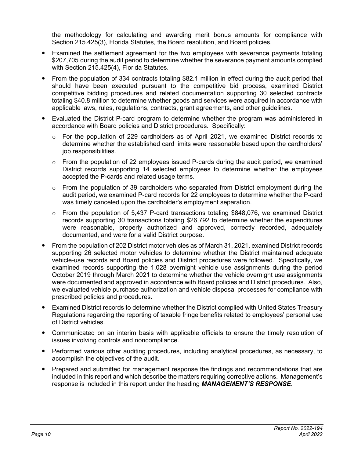the methodology for calculating and awarding merit bonus amounts for compliance with Section 215.425(3), Florida Statutes, the Board resolution, and Board policies.

- Examined the settlement agreement for the two employees with severance payments totaling \$207,705 during the audit period to determine whether the severance payment amounts complied with Section 215.425(4), Florida Statutes.
- From the population of 334 contracts totaling \$82.1 million in effect during the audit period that should have been executed pursuant to the competitive bid process, examined District competitive bidding procedures and related documentation supporting 30 selected contracts totaling \$40.8 million to determine whether goods and services were acquired in accordance with applicable laws, rules, regulations, contracts, grant agreements, and other guidelines.
- Evaluated the District P-card program to determine whether the program was administered in accordance with Board policies and District procedures. Specifically:
	- o For the population of 229 cardholders as of April 2021, we examined District records to determine whether the established card limits were reasonable based upon the cardholders' job responsibilities.
	- $\circ$  From the population of 22 employees issued P-cards during the audit period, we examined District records supporting 14 selected employees to determine whether the employees accepted the P-cards and related usage terms.
	- $\circ$  From the population of 39 cardholders who separated from District employment during the audit period, we examined P-card records for 22 employees to determine whether the P-card was timely canceled upon the cardholder's employment separation.
	- $\circ$  From the population of 5,437 P-card transactions totaling \$848,076, we examined District records supporting 30 transactions totaling \$26,792 to determine whether the expenditures were reasonable, properly authorized and approved, correctly recorded, adequately documented, and were for a valid District purpose.
- From the population of 202 District motor vehicles as of March 31, 2021, examined District records supporting 26 selected motor vehicles to determine whether the District maintained adequate vehicle-use records and Board policies and District procedures were followed. Specifically, we examined records supporting the 1,028 overnight vehicle use assignments during the period October 2019 through March 2021 to determine whether the vehicle overnight use assignments were documented and approved in accordance with Board policies and District procedures. Also, we evaluated vehicle purchase authorization and vehicle disposal processes for compliance with prescribed policies and procedures.
- Examined District records to determine whether the District complied with United States Treasury Regulations regarding the reporting of taxable fringe benefits related to employees' personal use of District vehicles.
- Communicated on an interim basis with applicable officials to ensure the timely resolution of issues involving controls and noncompliance.
- Performed various other auditing procedures, including analytical procedures, as necessary, to accomplish the objectives of the audit.
- Prepared and submitted for management response the findings and recommendations that are included in this report and which describe the matters requiring corrective actions. Management's response is included in this report under the heading *MANAGEMENT'S RESPONSE*.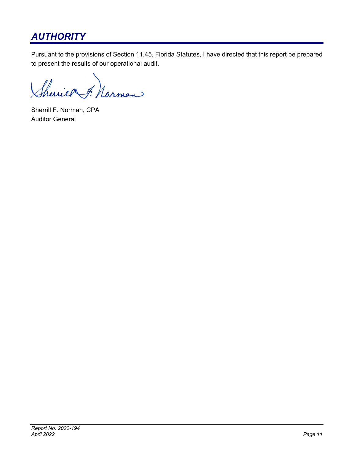# *AUTHORITY*

Pursuant to the provisions of Section 11.45, Florida Statutes, I have directed that this report be prepared to present the results of our operational audit.

Sherier F. Norman

Sherrill F. Norman, CPA Auditor General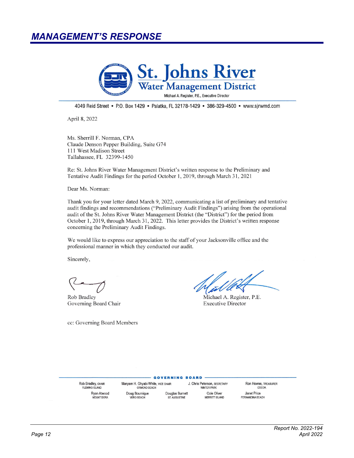# *MANAGEMENT'S RESPONSE*



4049 Reid Street • P.O. Box 1429 • Palatka, FL 32178-1429 • 386-329-4500 • www.sirwmd.com

April 8, 2022

Ms. Sherrill F. Norman, CPA Claude Denson Pepper Building, Suite G74 111 West Madison Street Tallahassee, FL 32399-1450

Re: St. Johns River Water Management District's written response to the Preliminary and Tentative Audit Findings for the period October 1, 2019, through March 31, 2021

Dear Ms. Norman:

Thank you for your letter dated March 9, 2022, communicating a list of preliminary and tentative audit findings and recommendations ("Preliminary Audit Findings") arising from the operational audit of the St. Johns River Water Management District (the "District") for the period from October 1, 2019, through March 31, 2022. This letter provides the District's written response concerning the Preliminary Audit Findings.

We would like to express our appreciation to the staff of your Jacksonville office and the professional manner in which they conducted our audit.

Sincerely,

Rob Bradley Governing Board Chair

cc: Governing Board Members

Michael A. Register, P.E. **Executive Director** 

Rob Bradley, CHAIR **FLEMING ISLAND** Rvan Atwood **MOUNT DORA** 

Maryam H. Ghyabi-White, VICE CHAIR ORMOND BEACH Doug Bournique **VERO BEACH** 

J. Chris Peterson, SECRETARY WINTER PARK Douglas Burnett Cole Oliver ST. AUGUSTINE **MERRITT ISLAND** 

**GOVERNING BOARD** 

Ron Howse, TREASURER COCOA Janet Price FERNANDINA BEACH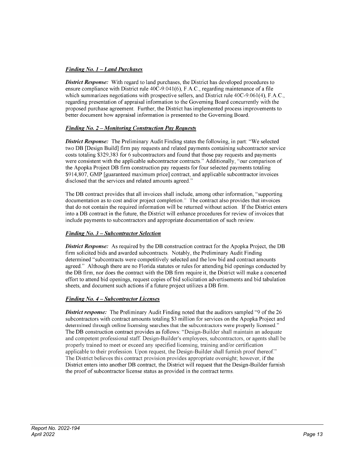### **Finding No. 1 - Land Purchases**

**District Response:** With regard to land purchases, the District has developed procedures to ensure compliance with District rule 40C-9.041(6), F.A.C., regarding maintenance of a file which summarizes negotiations with prospective sellers, and District rule 40C-9.061(4), F.A.C., regarding presentation of appraisal information to the Governing Board concurrently with the proposed purchase agreement. Further, the District has implemented process improvements to better document how appraisal information is presented to the Governing Board.

### Finding No. 2 – Monitoring Construction Pay Requests

**District Response:** The Preliminary Audit Finding states the following, in part: "We selected two DB [Design Build] firm pay requests and related payments containing subcontractor service costs totaling \$329,383 for 6 subcontractors and found that those pay requests and payments were consistent with the applicable subcontractor contracts." Additionally, "our comparison of the Apopka Project DB firm construction pay requests for four selected payments totaling \$914,807. GMP [guaranteed maximum price] contract, and applicable subcontractor invoices disclosed that the services and related amounts agreed."

The DB contract provides that all invoices shall include, among other information, "supporting documentation as to cost and/or project completion." The contract also provides that invoices that do not contain the required information will be returned without action. If the District enters into a DB contract in the future, the District will enhance procedures for review of invoices that include payments to subcontractors and appropriate documentation of such review.

### Finding No.  $3$  – Subcontractor Selection

**District Response:** As required by the DB construction contract for the Apopka Project, the DB firm solicited bids and awarded subcontracts. Notably, the Preliminary Audit Finding determined "subcontracts were competitively selected and the low bid and contract amounts agreed." Although there are no Florida statutes or rules for attending bid openings conducted by the DB firm, nor does the contract with the DB firm require it, the District will make a concerted effort to attend bid openings, request copies of bid solicitation advertisements and bid tabulation sheets, and document such actions if a future project utilizes a DB firm.

### Finding No. 4 – Subcontractor Licenses

District response: The Preliminary Audit Finding noted that the auditors sampled "9 of the 26 subcontractors with contract amounts totaling \$3 million for services on the Apopka Project and determined through online licensing searches that the subcontractors were properly licensed." The DB construction contract provides as follows: "Design-Builder shall maintain an adequate and competent professional staff. Design-Builder's employees, subcontractors, or agents shall be properly trained to meet or exceed any specified licensing, training and/or certification applicable to their profession. Upon request, the Design-Builder shall furnish proof thereof." The District believes this contract provision provides appropriate oversight; however, if the District enters into another DB contract, the District will request that the Design-Builder furnish the proof of subcontractor license status as provided in the contract terms.